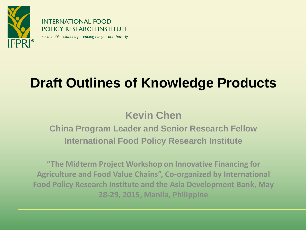

**INTERNATIONAL FOOD POLICY RESEARCH INSTITUTE** sustainable solutions for ending hunger and poverty

## **Draft Outlines of Knowledge Products**

#### **Kevin Chen**

#### **China Program Leader and Senior Research Fellow International Food Policy Research Institute**

**"The Midterm Project Workshop on Innovative Financing for Agriculture and Food Value Chains", Co-organized by International Food Policy Research Institute and the Asia Development Bank, May 28-29, 2015, Manila, Philippine**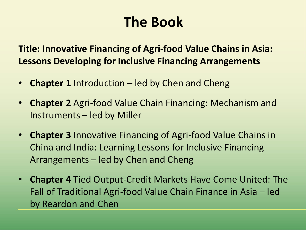## **The Book**

**Title: Innovative Financing of Agri-food Value Chains in Asia: Lessons Developing for Inclusive Financing Arrangements**

- **Chapter 1** Introduction led by Chen and Cheng
- **Chapter 2** Agri-food Value Chain Financing: Mechanism and Instruments – led by Miller
- **Chapter 3** Innovative Financing of Agri-food Value Chains in China and India: Learning Lessons for Inclusive Financing Arrangements – led by Chen and Cheng
- **Chapter 4** Tied Output-Credit Markets Have Come United: The Fall of Traditional Agri-food Value Chain Finance in Asia – led by Reardon and Chen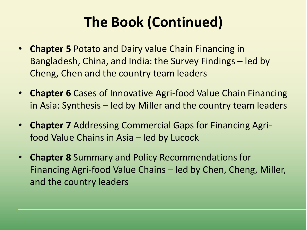# **The Book (Continued)**

- **Chapter 5** Potato and Dairy value Chain Financing in Bangladesh, China, and India: the Survey Findings – led by Cheng, Chen and the country team leaders
- **Chapter 6** Cases of Innovative Agri-food Value Chain Financing in Asia: Synthesis – led by Miller and the country team leaders
- **Chapter 7** Addressing Commercial Gaps for Financing Agrifood Value Chains in Asia – led by Lucock
- **Chapter 8** Summary and Policy Recommendations for Financing Agri-food Value Chains – led by Chen, Cheng, Miller, and the country leaders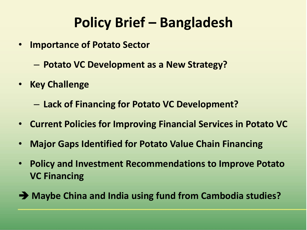## **Policy Brief – Bangladesh**

- **Importance of Potato Sector**
	- **Potato VC Development as a New Strategy?**
- **Key Challenge**

– **Lack of Financing for Potato VC Development?**

- **Current Policies for Improving Financial Services in Potato VC**
- **Major Gaps Identified for Potato Value Chain Financing**
- **Policy and Investment Recommendations to Improve Potato VC Financing**
- **Maybe China and India using fund from Cambodia studies?**